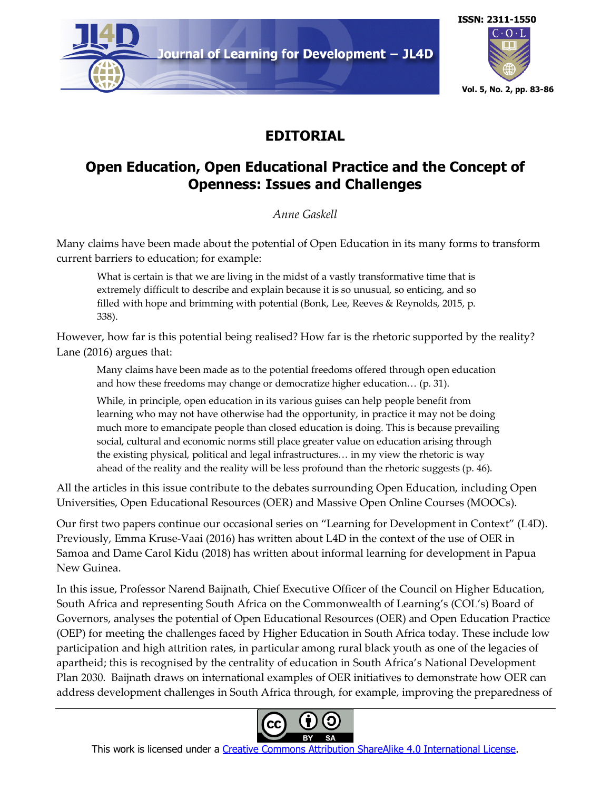

## **EDITORIAL**

## **Open Education, Open Educational Practice and the Concept of Openness: Issues and Challenges**

*Anne Gaskell*

Many claims have been made about the potential of Open Education in its many forms to transform current barriers to education; for example:

What is certain is that we are living in the midst of a vastly transformative time that is extremely difficult to describe and explain because it is so unusual, so enticing, and so filled with hope and brimming with potential (Bonk, Lee, Reeves & Reynolds, 2015, p. 338).

However, how far is this potential being realised? How far is the rhetoric supported by the reality? Lane (2016) argues that:

Many claims have been made as to the potential freedoms offered through open education and how these freedoms may change or democratize higher education… (p. 31).

While, in principle, open education in its various guises can help people benefit from learning who may not have otherwise had the opportunity, in practice it may not be doing much more to emancipate people than closed education is doing. This is because prevailing social, cultural and economic norms still place greater value on education arising through the existing physical, political and legal infrastructures… in my view the rhetoric is way ahead of the reality and the reality will be less profound than the rhetoric suggests (p. 46).

All the articles in this issue contribute to the debates surrounding Open Education, including Open Universities, Open Educational Resources (OER) and Massive Open Online Courses (MOOCs).

Our first two papers continue our occasional series on "Learning for Development in Context" (L4D). Previously, Emma Kruse-Vaai (2016) has written about L4D in the context of the use of OER in Samoa and Dame Carol Kidu (2018) has written about informal learning for development in Papua New Guinea.

In this issue, Professor Narend Baijnath, Chief Executive Officer of the Council on Higher Education, South Africa and representing South Africa on the Commonwealth of Learning's (COL's) Board of Governors, analyses the potential of Open Educational Resources (OER) and Open Education Practice (OEP) for meeting the challenges faced by Higher Education in South Africa today. These include low participation and high attrition rates, in particular among rural black youth as one of the legacies of apartheid; this is recognised by the centrality of education in South Africa's National Development Plan 2030. Baijnath draws on international examples of OER initiatives to demonstrate how OER can address development challenges in South Africa through, for example, improving the preparedness of



This work is licensed under a Creative Commons Attribution ShareAlike 4.0 International License.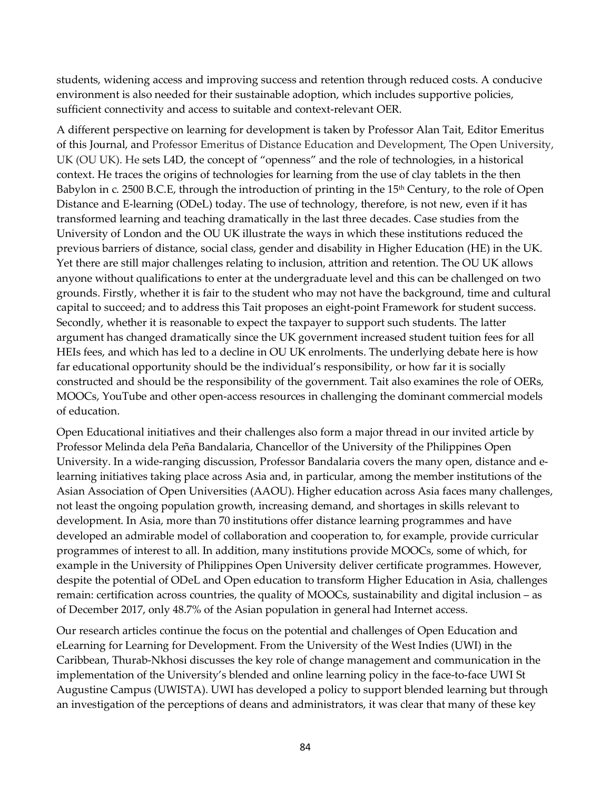students, widening access and improving success and retention through reduced costs. A conducive environment is also needed for their sustainable adoption, which includes supportive policies, sufficient connectivity and access to suitable and context-relevant OER.

A different perspective on learning for development is taken by Professor Alan Tait, Editor Emeritus of this Journal, and Professor Emeritus of Distance Education and Development, The Open University, UK (OU UK). He sets L4D, the concept of "openness" and the role of technologies, in a historical context. He traces the origins of technologies for learning from the use of clay tablets in the then Babylon in c. 2500 B.C.E, through the introduction of printing in the 15<sup>th</sup> Century, to the role of Open Distance and E-learning (ODeL) today. The use of technology, therefore, is not new, even if it has transformed learning and teaching dramatically in the last three decades. Case studies from the University of London and the OU UK illustrate the ways in which these institutions reduced the previous barriers of distance, social class, gender and disability in Higher Education (HE) in the UK. Yet there are still major challenges relating to inclusion, attrition and retention. The OU UK allows anyone without qualifications to enter at the undergraduate level and this can be challenged on two grounds. Firstly, whether it is fair to the student who may not have the background, time and cultural capital to succeed; and to address this Tait proposes an eight-point Framework for student success. Secondly, whether it is reasonable to expect the taxpayer to support such students. The latter argument has changed dramatically since the UK government increased student tuition fees for all HEIs fees, and which has led to a decline in OU UK enrolments. The underlying debate here is how far educational opportunity should be the individual's responsibility, or how far it is socially constructed and should be the responsibility of the government. Tait also examines the role of OERs, MOOCs, YouTube and other open-access resources in challenging the dominant commercial models of education.

Open Educational initiatives and their challenges also form a major thread in our invited article by Professor Melinda dela Peña Bandalaria, Chancellor of the University of the Philippines Open University. In a wide-ranging discussion, Professor Bandalaria covers the many open, distance and elearning initiatives taking place across Asia and, in particular, among the member institutions of the Asian Association of Open Universities (AAOU). Higher education across Asia faces many challenges, not least the ongoing population growth, increasing demand, and shortages in skills relevant to development. In Asia, more than 70 institutions offer distance learning programmes and have developed an admirable model of collaboration and cooperation to, for example, provide curricular programmes of interest to all. In addition, many institutions provide MOOCs, some of which, for example in the University of Philippines Open University deliver certificate programmes. However, despite the potential of ODeL and Open education to transform Higher Education in Asia, challenges remain: certification across countries, the quality of MOOCs, sustainability and digital inclusion – as of December 2017, only 48.7% of the Asian population in general had Internet access.

Our research articles continue the focus on the potential and challenges of Open Education and eLearning for Learning for Development. From the University of the West Indies (UWI) in the Caribbean, Thurab-Nkhosi discusses the key role of change management and communication in the implementation of the University's blended and online learning policy in the face-to-face UWI St Augustine Campus (UWISTA). UWI has developed a policy to support blended learning but through an investigation of the perceptions of deans and administrators, it was clear that many of these key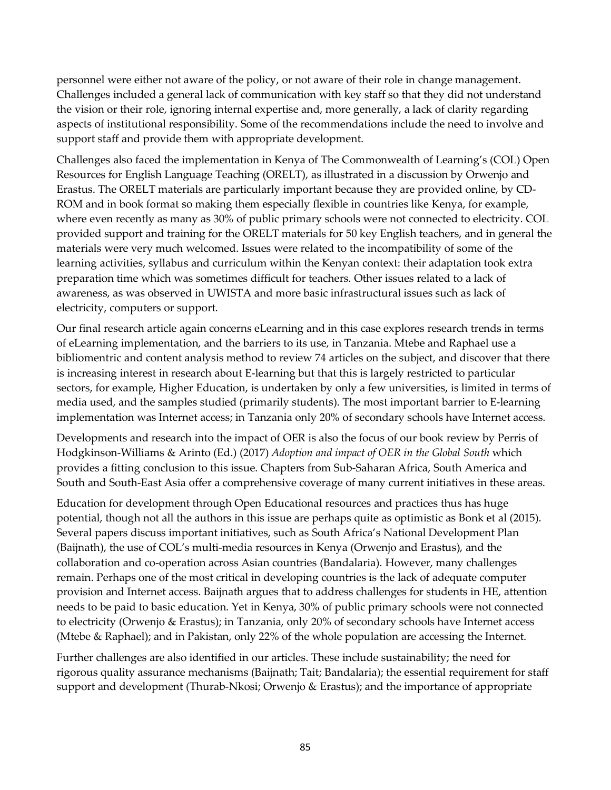personnel were either not aware of the policy, or not aware of their role in change management. Challenges included a general lack of communication with key staff so that they did not understand the vision or their role, ignoring internal expertise and, more generally, a lack of clarity regarding aspects of institutional responsibility. Some of the recommendations include the need to involve and support staff and provide them with appropriate development.

Challenges also faced the implementation in Kenya of The Commonwealth of Learning's (COL) Open Resources for English Language Teaching (ORELT), as illustrated in a discussion by Orwenjo and Erastus. The ORELT materials are particularly important because they are provided online, by CD-ROM and in book format so making them especially flexible in countries like Kenya, for example, where even recently as many as 30% of public primary schools were not connected to electricity. COL provided support and training for the ORELT materials for 50 key English teachers, and in general the materials were very much welcomed. Issues were related to the incompatibility of some of the learning activities, syllabus and curriculum within the Kenyan context: their adaptation took extra preparation time which was sometimes difficult for teachers. Other issues related to a lack of awareness, as was observed in UWISTA and more basic infrastructural issues such as lack of electricity, computers or support.

Our final research article again concerns eLearning and in this case explores research trends in terms of eLearning implementation, and the barriers to its use, in Tanzania. Mtebe and Raphael use a bibliomentric and content analysis method to review 74 articles on the subject, and discover that there is increasing interest in research about E-learning but that this is largely restricted to particular sectors, for example, Higher Education, is undertaken by only a few universities, is limited in terms of media used, and the samples studied (primarily students). The most important barrier to E-learning implementation was Internet access; in Tanzania only 20% of secondary schools have Internet access.

Developments and research into the impact of OER is also the focus of our book review by Perris of Hodgkinson-Williams & Arinto (Ed.) (2017) *Adoption and impact of OER in the Global South* which provides a fitting conclusion to this issue. Chapters from Sub-Saharan Africa, South America and South and South-East Asia offer a comprehensive coverage of many current initiatives in these areas.

Education for development through Open Educational resources and practices thus has huge potential, though not all the authors in this issue are perhaps quite as optimistic as Bonk et al (2015). Several papers discuss important initiatives, such as South Africa's National Development Plan (Baijnath), the use of COL's multi-media resources in Kenya (Orwenjo and Erastus), and the collaboration and co-operation across Asian countries (Bandalaria). However, many challenges remain. Perhaps one of the most critical in developing countries is the lack of adequate computer provision and Internet access. Baijnath argues that to address challenges for students in HE, attention needs to be paid to basic education. Yet in Kenya, 30% of public primary schools were not connected to electricity (Orwenjo & Erastus); in Tanzania, only 20% of secondary schools have Internet access (Mtebe & Raphael); and in Pakistan, only 22% of the whole population are accessing the Internet.

Further challenges are also identified in our articles. These include sustainability; the need for rigorous quality assurance mechanisms (Baijnath; Tait; Bandalaria); the essential requirement for staff support and development (Thurab-Nkosi; Orwenjo & Erastus); and the importance of appropriate